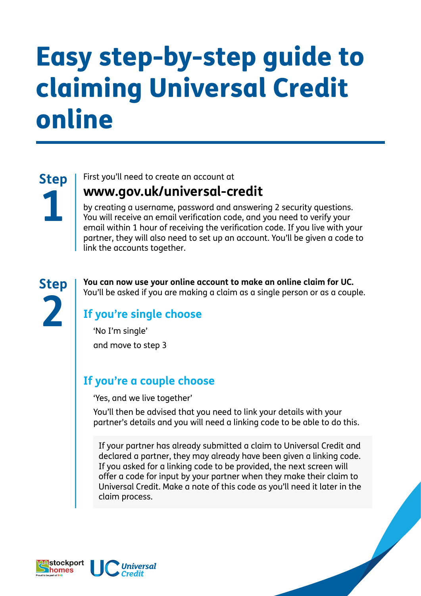# Easy step-by-step guide to claiming Universal Credit online

**Step 1**

First you'll need to create an account at

### **www.gov.uk/universal-credit**

by creating a username, password and answering 2 security questions. You will receive an email verification code, and you need to verify your email within 1 hour of receiving the verification code. If you live with your partner, they will also need to set up an account. You'll be given a code to link the accounts together.

**Step 2**

**You can now use your online account to make an online claim for UC.** You'll be asked if you are making a claim as a single person or as a couple.

### **If you're single choose**

'No I'm single' and move to step 3

#### **If you're a couple choose**

'Yes, and we live together'

You'll then be advised that you need to link your details with your partner's details and you will need a linking code to be able to do this.

If your partner has already submitted a claim to Universal Credit and declared a partner, they may already have been given a linking code. If you asked for a linking code to be provided, the next screen will offer a code for input by your partner when they make their claim to Universal Credit. Make a note of this code as you'll need it later in the claim process.

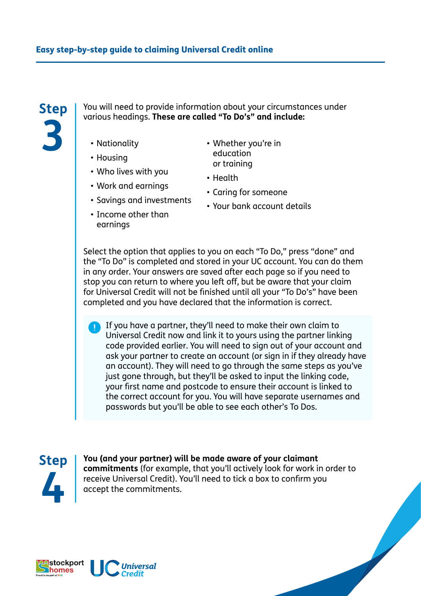## **Step 3**

You will need to provide information about your circumstances under various headings. **These are called "To Do's" and include:**

- Nationality
- Housing
- Who lives with you
- Work and earnings
- Savings and investments
- Income other than earnings
- Whether you're in education or training
- Health
- Caring for someone
- Your bank account details

Select the option that applies to you on each "To Do," press "done" and the "To Do" is completed and stored in your UC account. You can do them in any order. Your answers are saved after each page so if you need to stop you can return to where you left off, but be aware that your claim for Universal Credit will not be finished until all your "To Do's" have been completed and you have declared that the information is correct.

If you have a partner, they'll need to make their own claim to Universal Credit now and link it to yours using the partner linking code provided earlier. You will need to sign out of your account and ask your partner to create an account (or sign in if they already have an account). They will need to go through the same steps as you've just gone through, but they'll be asked to input the linking code, your first name and postcode to ensure their account is linked to the correct account for you. You will have separate usernames and passwords but you'll be able to see each other's To Dos.



**You (and your partner) will be made aware of your claimant commitments** (for example, that you'll actively look for work in order to receive Universal Credit). You'll need to tick a box to confirm you accept the commitments.

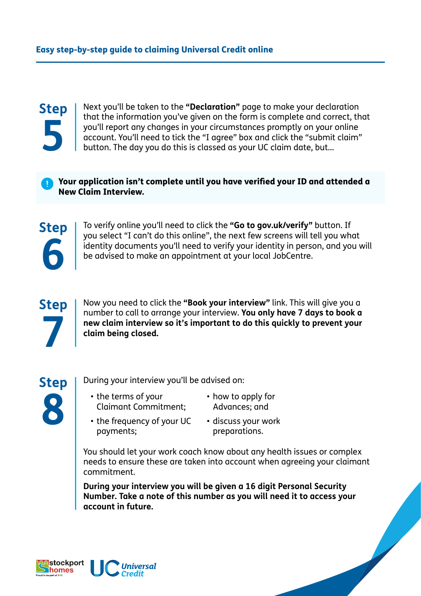## **Step 5**

Next you'll be taken to the **"Declaration"** page to make your declaration that the information you've given on the form is complete and correct, that you'll report any changes in your circumstances promptly on your online account. You'll need to tick the "I agree" box and click the "submit claim" button. The day you do this is classed as your UC claim date, but…

Your application isn't complete until you have verified your ID and attended a New Claim Interview.



To verify online you'll need to click the **"Go to gov.uk/verify"** button. If you select "I can't do this online", the next few screens will tell you what identity documents you'll need to verify your identity in person, and you will be advised to make an appointment at your local JobCentre.



Now you need to click the **"Book your interview"** link. This will give you a number to call to arrange your interview. **You only have 7 days to book a new claim interview so it's important to do this quickly to prevent your claim being closed.** 



During your interview you'll be advised on:

- the terms of your Claimant Commitment;
- how to apply for Advances; and
- the frequency of your UC payments;
- discuss your work preparations.

You should let your work coach know about any health issues or complex needs to ensure these are taken into account when agreeing your claimant commitment.

**During your interview you will be given a 16 digit Personal Security Number. Take a note of this number as you will need it to access your account in future.**